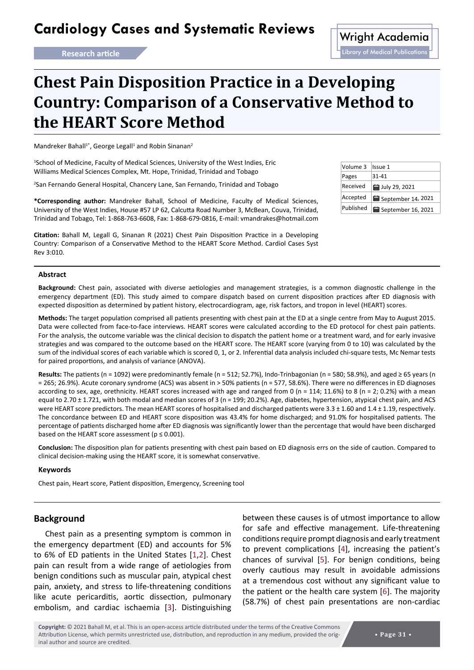# **Cardiology Cases and Systematic Reviews** Wright Academia

## **Chest Pain Disposition Practice in a Developing Country: Comparison of a Conservative Method to the HEART Score Method**

Mandreker Bahall<sup>1\*</sup>, George Legall<sup>1</sup> and Robin Sinanan<sup>2</sup>

<sup>1</sup>School of Medicine, Faculty of Medical Sciences, University of the West Indies, Eric Williams Medical Sciences Complex, Mt. Hope, Trinidad, Trinidad and Tobago

2 San Fernando General Hospital, Chancery Lane, San Fernando, Trinidad and Tobago

**\*Corresponding author:** Mandreker Bahall, School of Medicine, Faculty of Medical Sciences, University of the West Indies, House #57 LP 62, Calcutta Road Number 3, McBean, Couva, Trinidad, Trinidad and Tobago, Tel: 1-868-763-6608, Fax: 1-868-679-0816, E-mail: vmandrakes@hotmail.com

**Citation:** Bahall M, Legall G, Sinanan R (2021) Chest Pain Disposition Practice in a Developing Country: Comparison of a Conservative Method to the HEART Score Method. Cardiol Cases Syst Rev 3:010.

## Volume 3 | Issue 1 Pages 31-41 Received  $\frac{1}{2}$  July 29, 2021 Accepted  $\frac{1}{2}$  September 14, 2021 Published | 田 September 16, 2021

#### **Abstract**

**Background:** Chest pain, associated with diverse aetiologies and management strategies, is a common diagnostic challenge in the emergency department (ED). This study aimed to compare dispatch based on current disposition practices after ED diagnosis with expected disposition as determined by patient history, electrocardiogram, age, risk factors, and tropon in level (HEART) scores.

**Methods:** The target population comprised all patients presenting with chest pain at the ED at a single centre from May to August 2015. Data were collected from face-to-face interviews. HEART scores were calculated according to the ED protocol for chest pain patients. For the analysis, the outcome variable was the clinical decision to dispatch the patient home or a treatment ward, and for early invasive strategies and was compared to the outcome based on the HEART score. The HEART score (varying from 0 to 10) was calculated by the sum of the individual scores of each variable which is scored 0, 1, or 2. Inferential data analysis included chi-square tests, Mc Nemar tests for paired proportions, and analysis of variance (ANOVA).

**Results:** The patients (n = 1092) were predominantly female (n = 512; 52.7%), Indo-Trinbagonian (n = 580; 58.9%), and aged ≥ 65 years (n = 265; 26.9%). Acute coronary syndrome (ACS) was absent in > 50% patients (n = 577, 58.6%). There were no differences in ED diagnoses according to sex, age, orethnicity. HEART scores increased with age and ranged from 0 (n = 114; 11.6%) to 8 (n = 2; 0.2%) with a mean equal to 2.70 ± 1.721, with both modal and median scores of 3 (n = 199; 20.2%). Age, diabetes, hypertension, atypical chest pain, and ACS were HEART score predictors. The mean HEART scores of hospitalised and discharged patients were 3.3 ± 1.60 and 1.4 ± 1.19, respectively. The concordance between ED and HEART score disposition was 43.4% for home discharged; and 91.0% for hospitalised patients. The percentage of patients discharged home after ED diagnosis was significantly lower than the percentage that would have been discharged based on the HEART score assessment ( $p \le 0.001$ ).

**Conclusion:** The disposition plan for patients presenting with chest pain based on ED diagnosis errs on the side of caution. Compared to clinical decision-making using the HEART score, it is somewhat conservative.

#### **Keywords**

Chest pain, Heart score, Patient disposition, Emergency, Screening tool

## **Background**

Chest pain as a presenting symptom is common in the emergency department (ED) and accounts for 5% to 6% of ED patients in the United States [[1](#page-9-3),[2](#page-9-4)]. Chest pain can result from a wide range of aetiologies from benign conditions such as muscular pain, atypical chest pain, anxiety, and stress to life-threatening conditions like acute pericarditis, aortic dissection, pulmonary embolism, and cardiac ischaemia [\[3\]](#page-9-5). Distinguishing

between these causes is of utmost importance to allow for safe and effective management. Life-threatening conditions require prompt diagnosis and early treatment to prevent complications [\[4\]](#page-9-0), increasing the patient's chances of survival [\[5\]](#page-9-1). For benign conditions, being overly cautious may result in avoidable admissions at a tremendous cost without any significant value to the patient or the health care system [[6](#page-9-2)]. The majority (58.7%) of chest pain presentations are non-cardiac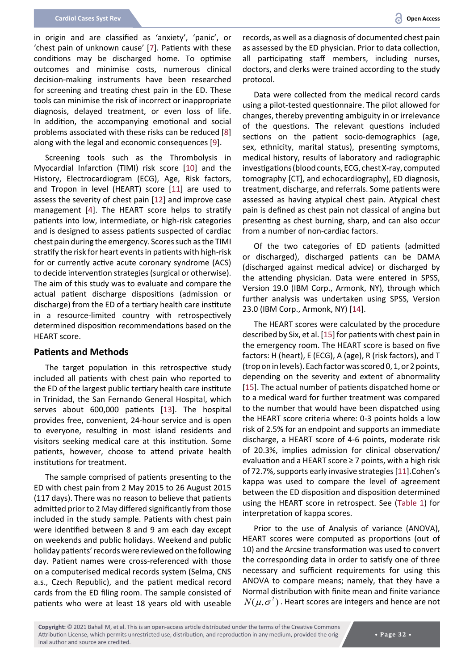in origin and are classified as 'anxiety', 'panic', or 'chest pain of unknown cause' [[7](#page-9-6)]. Patients with these conditions may be discharged home. To optimise outcomes and minimise costs, numerous clinical decision-making instruments have been researched for screening and treating chest pain in the ED. These tools can minimise the risk of incorrect or inappropriate diagnosis, delayed treatment, or even loss of life. In addition, the accompanying emotional and social problems associated with these risks can be reduced [[8](#page-9-7)] along with the legal and economic consequences [\[9](#page-9-8)].

Screening tools such as the Thrombolysis in Myocardial Infarction (TIMI) risk score [[10](#page-10-3)] and the History, Electrocardiogram (ECG), Age, Risk factors, and Tropon in level (HEART) score [[11](#page-10-2)] are used to assess the severity of chest pain [[12](#page-10-4)] and improve case management [[4](#page-9-0)]. The HEART score helps to stratify patients into low, intermediate, or high-risk categories and is designed to assess patients suspected of cardiac chest pain during the emergency. Scores such as the TIMI stratify the risk for heart events in patients with high-risk for or currently active acute coronary syndrome (ACS) to decide intervention strategies (surgical or otherwise). The aim of this study was to evaluate and compare the actual patient discharge dispositions (admission or discharge) from the ED of a tertiary health care institute in a resource-limited country with retrospectively determined disposition recommendations based on the HEART score.

## **Patients and Methods**

The target population in this retrospective study included all patients with chest pain who reported to the ED of the largest public tertiary health care institute in Trinidad, the San Fernando General Hospital, which serves about 600,000 patients [\[13](#page-10-5)]. The hospital provides free, convenient, 24-hour service and is open to everyone, resulting in most island residents and visitors seeking medical care at this institution. Some patients, however, choose to attend private health institutions for treatment.

The sample comprised of patients presenting to the ED with chest pain from 2 May 2015 to 26 August 2015 (117 days). There was no reason to believe that patients admitted prior to 2 May differed significantly from those included in the study sample. Patients with chest pain were identified between 8 and 9 am each day except on weekends and public holidays. Weekend and public holiday patients' records were reviewed on the following day. Patient names were cross-referenced with those on a computerised medical records system (Selma, CNS a.s., Czech Republic), and the patient medical record cards from the ED filing room. The sample consisted of patients who were at least 18 years old with useable

records, as well as a diagnosis of documented chest pain as assessed by the ED physician. Prior to data collection, all participating staff members, including nurses, doctors, and clerks were trained according to the study protocol.

Data were collected from the medical record cards using a pilot-tested questionnaire. The pilot allowed for changes, thereby preventing ambiguity in or irrelevance of the questions. The relevant questions included sections on the patient socio-demographics (age, sex, ethnicity, marital status), presenting symptoms, medical history, results of laboratory and radiographic investigations (blood counts, ECG, chest X-ray, computed tomography [CT], and echocardiography), ED diagnosis, treatment, discharge, and referrals. Some patients were assessed as having atypical chest pain. Atypical chest pain is defined as chest pain not classical of angina but presenting as chest burning, sharp, and can also occur from a number of non-cardiac factors.

Of the two categories of ED patients (admitted or discharged), discharged patients can be DAMA (discharged against medical advice) or discharged by the attending physician. Data were entered in SPSS, Version 19.0 (IBM Corp., Armonk, NY), through which further analysis was undertaken using SPSS, Version 23.0 (IBM Corp., Armonk, NY) [\[14](#page-10-0)].

The HEART scores were calculated by the procedure described by Six, et al. [\[15\]](#page-10-1) for patients with chest pain in the emergency room. The HEART score is based on five factors: H (heart), E (ECG), A (age), R (risk factors), and T (trop on in levels). Each factor was scored 0, 1, or 2 points, depending on the severity and extent of abnormality [\[15](#page-10-1)]. The actual number of patients dispatched home or to a medical ward for further treatment was compared to the number that would have been dispatched using the HEART score criteria where: 0-3 points holds a low risk of 2.5% for an endpoint and supports an immediate discharge, a HEART score of 4-6 points, moderate risk of 20.3%, implies admission for clinical observation/ evaluation and a HEART score ≥ 7 points, with a high risk of 72.7%, supports early invasive strategies [[11](#page-10-2)].Cohen's kappa was used to compare the level of agreement between the ED disposition and disposition determined using the HEART score in retrospect. See (Table 1) for interpretation of kappa scores.

Prior to the use of Analysis of variance (ANOVA), HEART scores were computed as proportions (out of 10) and the Arcsine transformation was used to convert the corresponding data in order to satisfy one of three necessary and sufficient requirements for using this ANOVA to compare means; namely, that they have a Normal distribution with finite mean and finite variance  $N(\mu, \sigma^2)$ . Heart scores are integers and hence are not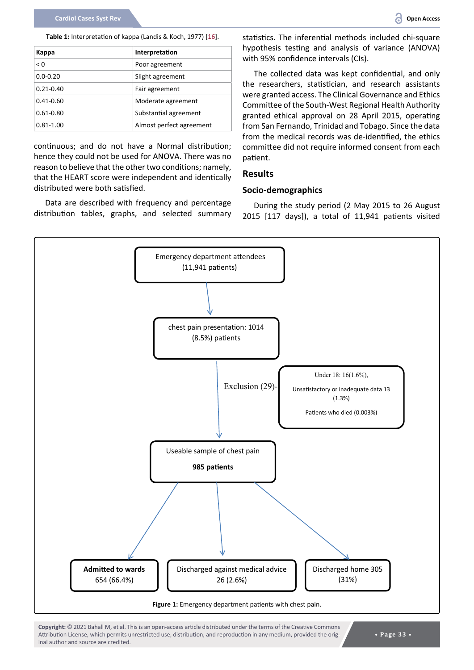| Kappa         | Interpretation           |
|---------------|--------------------------|
| < 0           | Poor agreement           |
| $0.0 - 0.20$  | Slight agreement         |
| $0.21 - 0.40$ | Fair agreement           |
| $0.41 - 0.60$ | Moderate agreement       |
| $0.61 - 0.80$ | Substantial agreement    |
| $0.81 - 1.00$ | Almost perfect agreement |

continuous; and do not have a Normal distribution; hence they could not be used for ANOVA. There was no reason to believe that the other two conditions; namely, that the HEART score were independent and identically distributed were both satisfied.

Data are described with frequency and percentage distribution tables, graphs, and selected summary statistics. The inferential methods included chi-square hypothesis testing and analysis of variance (ANOVA) with 95% confidence intervals (CIs).

The collected data was kept confidential, and only the researchers, statistician, and research assistants were granted access. The Clinical Governance and Ethics Committee of the South-West Regional Health Authority granted ethical approval on 28 April 2015, operating from San Fernando, Trinidad and Tobago. Since the data from the medical records was de-identified, the ethics committee did not require informed consent from each patient.

#### **Results**

#### **Socio-demographics**

During the study period (2 May 2015 to 26 August 2015 [117 days]), a total of 11,941 patients visited

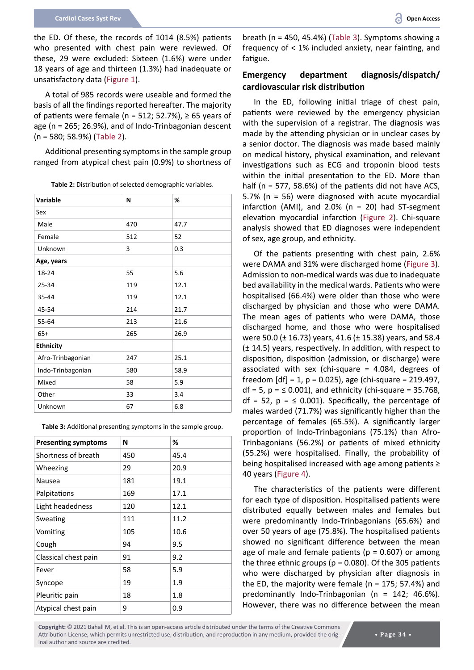the ED. Of these, the records of 1014 (8.5%) patients who presented with chest pain were reviewed. Of these, 29 were excluded: Sixteen (1.6%) were under 18 years of age and thirteen (1.3%) had inadequate or unsatisfactory data (Figure 1).

A total of 985 records were useable and formed the basis of all the findings reported hereafter. The majority of patients were female (n = 512; 52.7%),  $\geq$  65 years of age (n = 265; 26.9%), and of Indo-Trinbagonian descent (n = 580; 58.9%) (Table 2).

Additional presenting symptoms in the sample group ranged from atypical chest pain (0.9%) to shortness of

**Table 2:** Distribution of selected demographic variables.

| Variable          | N   | %    |
|-------------------|-----|------|
| Sex               |     |      |
| Male              | 470 | 47.7 |
| Female            | 512 | 52   |
| Unknown           | 3   | 0.3  |
| Age, years        |     |      |
| 18-24             | 55  | 5.6  |
| 25-34             | 119 | 12.1 |
| 35-44             | 119 | 12.1 |
| 45-54             | 214 | 21.7 |
| 55-64             | 213 | 21.6 |
| $65+$             | 265 | 26.9 |
| <b>Ethnicity</b>  |     |      |
| Afro-Trinbagonian | 247 | 25.1 |
| Indo-Trinbagonian | 580 | 58.9 |
| Mixed             | 58  | 5.9  |
| Other             | 33  | 3.4  |
| Unknown           | 67  | 6.8  |

**Table 3:** Additional presenting symptoms in the sample group.

| <b>Presenting symptoms</b> | N   | %    |
|----------------------------|-----|------|
| Shortness of breath        | 450 | 45.4 |
| Wheezing                   | 29  | 20.9 |
| Nausea                     | 181 | 19.1 |
| Palpitations               | 169 | 17.1 |
| Light headedness           | 120 | 12.1 |
| Sweating                   | 111 | 11.2 |
| Vomiting                   | 105 | 10.6 |
| Cough                      | 94  | 9.5  |
| Classical chest pain       | 91  | 9.2  |
| Fever                      | 58  | 5.9  |
| Syncope                    | 19  | 1.9  |
| Pleuritic pain             | 18  | 1.8  |
| Atypical chest pain        | 9   | 0.9  |

breath (n = 450, 45.4%) (Table 3). Symptoms showing a frequency of < 1% included anxiety, near fainting, and fatigue.

## **Emergency department diagnosis/dispatch/ cardiovascular risk distribution**

In the ED, following initial triage of chest pain, patients were reviewed by the emergency physician with the supervision of a registrar. The diagnosis was made by the attending physician or in unclear cases by a senior doctor. The diagnosis was made based mainly on medical history, physical examination, and relevant investigations such as ECG and troponin blood tests within the initial presentation to the ED. More than half (n = 577, 58.6%) of the patients did not have ACS, 5.7% (n = 56) were diagnosed with acute myocardial infarction (AMI), and 2.0% (n = 20) had ST-segment elevation myocardial infarction (Figure 2). Chi-square analysis showed that ED diagnoses were independent of sex, age group, and ethnicity.

Of the patients presenting with chest pain, 2.6% were DAMA and 31% were discharged home (Figure 3). Admission to non-medical wards was due to inadequate bed availability in the medical wards. Patients who were hospitalised (66.4%) were older than those who were discharged by physician and those who were DAMA. The mean ages of patients who were DAMA, those discharged home, and those who were hospitalised were 50.0 (± 16.73) years, 41.6 (± 15.38) years, and 58.4 (± 14.5) years, respectively. In addition, with respect to disposition, disposition (admission, or discharge) were associated with sex (chi-square = 4.084, degrees of freedom [df] = 1, p = 0.025), age (chi-square = 219.497,  $df = 5$ ,  $p = \leq 0.001$ , and ethnicity (chi-square = 35.768, df = 52,  $p = \leq 0.001$ ). Specifically, the percentage of males warded (71.7%) was significantly higher than the percentage of females (65.5%). A significantly larger proportion of Indo-Trinbagonians (75.1%) than Afro-Trinbagonians (56.2%) or patients of mixed ethnicity (55.2%) were hospitalised. Finally, the probability of being hospitalised increased with age among patients ≥ 40 years (Figure 4).

The characteristics of the patients were different for each type of disposition. Hospitalised patients were distributed equally between males and females but were predominantly Indo-Trinbagonians (65.6%) and over 50 years of age (75.8%). The hospitalised patients showed no significant difference between the mean age of male and female patients ( $p = 0.607$ ) or among the three ethnic groups ( $p = 0.080$ ). Of the 305 patients who were discharged by physician after diagnosis in the ED, the majority were female ( $n = 175$ ; 57.4%) and predominantly Indo-Trinbagonian (n = 142; 46.6%). However, there was no difference between the mean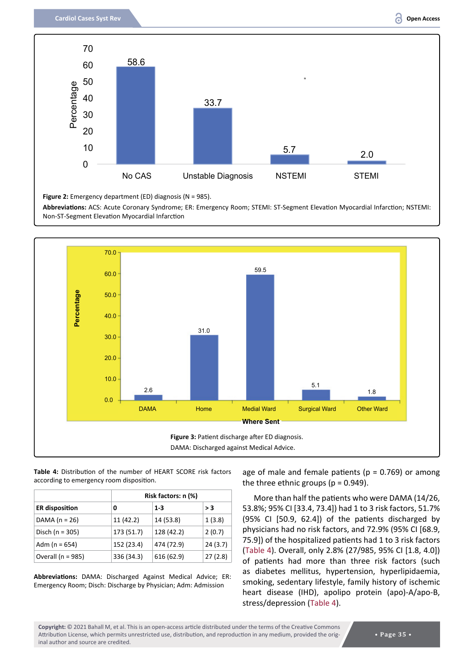

**Figure 2:** Emergency department (ED) diagnosis (N = 985).

**Abbreviations:** ACS: Acute Coronary Syndrome; ER: Emergency Room; STEMI: ST-Segment Elevation Myocardial Infarction; NSTEMI: Non-ST-Segment Elevation Myocardial Infarction



#### **Table 4:** Distribution of the number of HEART SCORE risk factors according to emergency room disposition.

|                       |            | Risk factors: n (%) |         |  |  |
|-----------------------|------------|---------------------|---------|--|--|
| <b>ER</b> disposition | 0          | $1 - 3$             | > 3     |  |  |
| DAMA $(n = 26)$       | 11 (42.2)  | 14 (53.8)           | 1(3.8)  |  |  |
| Disch ( $n = 305$ )   | 173 (51.7) | 128 (42.2)          | 2(0.7)  |  |  |
| Adm ( $n = 654$ )     | 152 (23.4) | 474 (72.9)          | 24(3.7) |  |  |
| Overall ( $n = 985$ ) | 336 (34.3) | 616 (62.9)          | 27(2.8) |  |  |

**Abbreviations:** DAMA: Discharged Against Medical Advice; ER: Emergency Room; Disch: Discharge by Physician; Adm: Admission

age of male and female patients ( $p = 0.769$ ) or among the three ethnic groups ( $p = 0.949$ ).

More than half the patients who were DAMA (14/26, 53.8%; 95% CI [33.4, 73.4]) had 1 to 3 risk factors, 51.7% (95% CI [50.9, 62.4]) of the patients discharged by physicians had no risk factors, and 72.9% (95% CI [68.9, 75.9]) of the hospitalized patients had 1 to 3 risk factors (Table 4). Overall, only 2.8% (27/985, 95% CI [1.8, 4.0]) of patients had more than three risk factors (such as diabetes mellitus, hypertension, hyperlipidaemia, smoking, sedentary lifestyle, family history of ischemic heart disease (IHD), apolipo protein (apo)-A/apo-B, stress/depression (Table 4).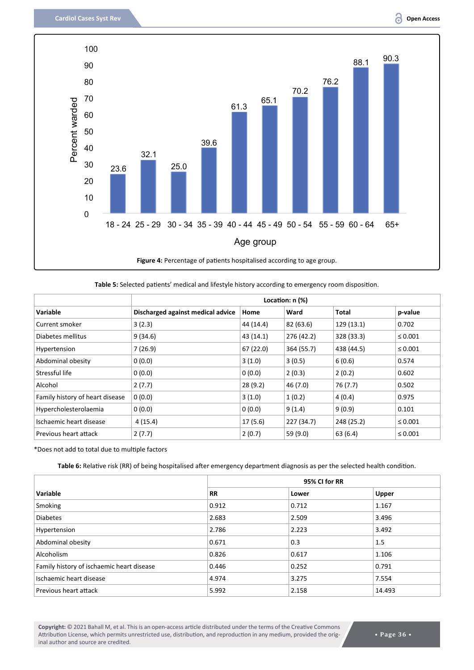

**Table 5:** Selected patients' medical and lifestyle history according to emergency room disposition.

|                                 |                                   |           | Location: $n$ $%$ |            |              |
|---------------------------------|-----------------------------------|-----------|-------------------|------------|--------------|
| Variable                        | Discharged against medical advice | Home      | Ward              | Total      | p-value      |
| Current smoker                  | 3(2.3)                            | 44 (14.4) | 82 (63.6)         | 129 (13.1) | 0.702        |
| Diabetes mellitus               | 9(34.6)                           | 43 (14.1) | 276 (42.2)        | 328 (33.3) | $\leq 0.001$ |
| Hypertension                    | 7(26.9)                           | 67 (22.0) | 364 (55.7)        | 438 (44.5) | $\leq 0.001$ |
| Abdominal obesity               | 0(0.0)                            | 3(1.0)    | 3(0.5)            | 6(0.6)     | 0.574        |
| Stressful life                  | 0(0.0)                            | 0(0.0)    | 2(0.3)            | 2(0.2)     | 0.602        |
| Alcohol                         | 2(7.7)                            | 28(9.2)   | 46 (7.0)          | 76 (7.7)   | 0.502        |
| Family history of heart disease | 0(0.0)                            | 3(1.0)    | 1(0.2)            | 4(0.4)     | 0.975        |
| Hypercholesterolaemia           | 0(0.0)                            | 0(0.0)    | 9(1.4)            | 9(0.9)     | 0.101        |
| Ischaemic heart disease         | 4(15.4)                           | 17(5.6)   | 227 (34.7)        | 248 (25.2) | $\leq 0.001$ |
| Previous heart attack           | 2(7.7)                            | 2(0.7)    | 59 (9.0)          | 63 (6.4)   | $\leq 0.001$ |

\*Does not add to total due to multiple factors

**Table 6:** Relative risk (RR) of being hospitalised after emergency department diagnosis as per the selected health condition.

|                                           |           | 95% CI for RR |              |  |  |
|-------------------------------------------|-----------|---------------|--------------|--|--|
| Variable                                  | <b>RR</b> | Lower         | <b>Upper</b> |  |  |
| Smoking                                   | 0.912     | 0.712         | 1.167        |  |  |
| <b>Diabetes</b>                           | 2.683     | 2.509         | 3.496        |  |  |
| Hypertension                              | 2.786     | 2.223         | 3.492        |  |  |
| Abdominal obesity                         | 0.671     | 0.3           | 1.5          |  |  |
| Alcoholism                                | 0.826     | 0.617         | 1.106        |  |  |
| Family history of ischaemic heart disease | 0.446     | 0.252         | 0.791        |  |  |
| Ischaemic heart disease                   | 4.974     | 3.275         | 7.554        |  |  |
| Previous heart attack                     | 5.992     | 2.158         | 14.493       |  |  |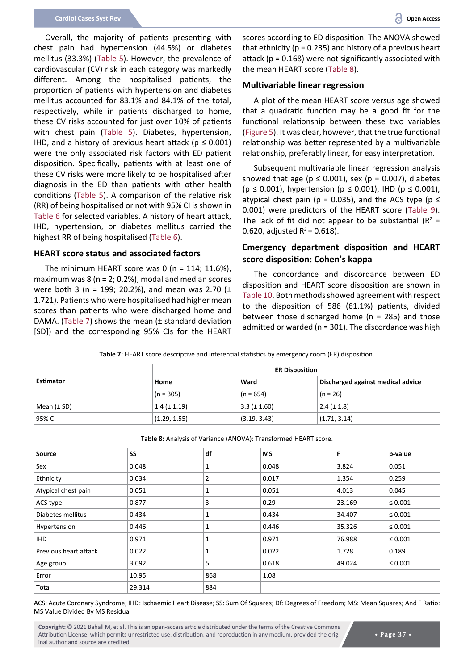Overall, the majority of patients presenting with chest pain had hypertension (44.5%) or diabetes mellitus (33.3%) (Table 5). However, the prevalence of cardiovascular (CV) risk in each category was markedly different. Among the hospitalised patients, the proportion of patients with hypertension and diabetes mellitus accounted for 83.1% and 84.1% of the total, respectively, while in patients discharged to home, these CV risks accounted for just over 10% of patients with chest pain (Table 5). Diabetes, hypertension, IHD, and a history of previous heart attack ( $p \le 0.001$ ) were the only associated risk factors with ED patient disposition. Specifically, patients with at least one of these CV risks were more likely to be hospitalised after diagnosis in the ED than patients with other health conditions (Table 5). A comparison of the relative risk (RR) of being hospitalised or not with 95% CI is shown in Table 6 for selected variables. A history of heart attack, IHD, hypertension, or diabetes mellitus carried the highest RR of being hospitalised (Table 6).

#### **HEART score status and associated factors**

The minimum HEART score was 0 (n = 114; 11.6%), maximum was 8 ( $n = 2$ ; 0.2%), modal and median scores were both 3 (n = 199; 20.2%), and mean was 2.70 ( $\pm$ 1.721). Patients who were hospitalised had higher mean scores than patients who were discharged home and DAMA. (Table 7) shows the mean (± standard deviation [SD]) and the corresponding 95% CIs for the HEART

scores according to ED disposition. The ANOVA showed that ethnicity ( $p = 0.235$ ) and history of a previous heart attack ( $p = 0.168$ ) were not significantly associated with the mean HEART score (Table 8).

#### **Multivariable linear regression**

A plot of the mean HEART score versus age showed that a quadratic function may be a good fit for the functional relationship between these two variables (Figure 5). It was clear, however, that the true functional relationship was better represented by a multivariable relationship, preferably linear, for easy interpretation.

Subsequent multivariable linear regression analysis showed that age ( $p \le 0.001$ ), sex ( $p = 0.007$ ), diabetes ( $p \le 0.001$ ), hypertension ( $p \le 0.001$ ), IHD ( $p \le 0.001$ ), atypical chest pain (p = 0.035), and the ACS type (p  $\leq$ 0.001) were predictors of the HEART score (Table 9). The lack of fit did not appear to be substantial ( $R^2$  = 0.620, adjusted  $R^2$  = 0.618).

## **Emergency department disposition and HEART score disposition: Cohen's kappa**

The concordance and discordance between ED disposition and HEART score disposition are shown in Table 10. Both methods showed agreement with respect to the disposition of 586 (61.1%) patients, divided between those discharged home ( $n = 285$ ) and those admitted or warded ( $n = 301$ ). The discordance was high

|  | Table 7: HEART score descriptive and inferential statistics by emergency room (ER) disposition. |  |
|--|-------------------------------------------------------------------------------------------------|--|
|  |                                                                                                 |  |

| Estimator   | <b>ER Disposition</b> |                  |                                   |  |
|-------------|-----------------------|------------------|-----------------------------------|--|
|             | Home                  | Ward             | Discharged against medical advice |  |
|             | $(n = 305)$           | $(n = 654)$      | $(n = 26)$                        |  |
| Mean (± SD) | $1.4 (\pm 1.19)$      | $3.3 (\pm 1.60)$ | $2.4 (\pm 1.8)$                   |  |
| 95% CI      | (1.29, 1.55)          | (3.19, 3.43)     | (1.71, 3.14)                      |  |

| <b>Source</b>         | <b>SS</b> | df  | <b>MS</b> | F      | p-value      |
|-----------------------|-----------|-----|-----------|--------|--------------|
| Sex                   | 0.048     | 1   | 0.048     | 3.824  | 0.051        |
| Ethnicity             | 0.034     | 2   | 0.017     | 1.354  | 0.259        |
| Atypical chest pain   | 0.051     | 1   | 0.051     | 4.013  | 0.045        |
| ACS type              | 0.877     | 3   | 0.29      | 23.169 | $\leq 0.001$ |
| Diabetes mellitus     | 0.434     | 1   | 0.434     | 34.407 | $\leq 0.001$ |
| Hypertension          | 0.446     | 1   | 0.446     | 35.326 | $\leq 0.001$ |
| <b>IHD</b>            | 0.971     | 1   | 0.971     | 76.988 | $\leq 0.001$ |
| Previous heart attack | 0.022     | 1   | 0.022     | 1.728  | 0.189        |
| Age group             | 3.092     | 5   | 0.618     | 49.024 | $\leq 0.001$ |
| Error                 | 10.95     | 868 | 1.08      |        |              |
| Total                 | 29.314    | 884 |           |        |              |

**Table 8:** Analysis of Variance (ANOVA): Transformed HEART score.

ACS: Acute Coronary Syndrome; IHD: Ischaemic Heart Disease; SS: Sum Of Squares; Df: Degrees of Freedom; MS: Mean Squares; And F Ratio: MS Value Divided By MS Residual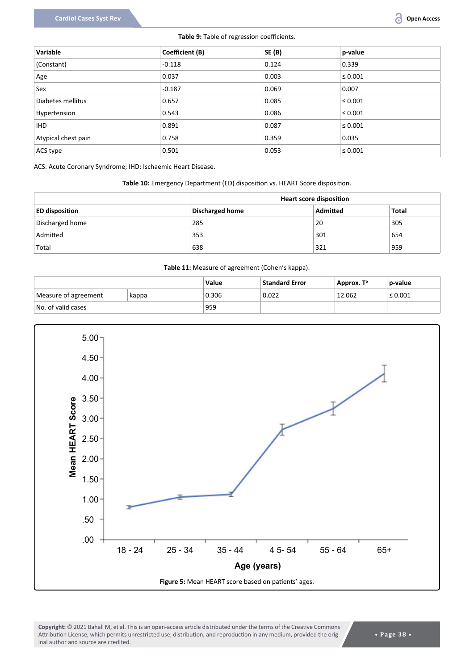#### **Table 9:** Table of regression coefficients.

| Variable            | Coefficient (B) | <b>SE (B)</b> | p-value      |
|---------------------|-----------------|---------------|--------------|
| (Constant)          | $-0.118$        | 0.124         | 0.339        |
| Age                 | 0.037           | 0.003         | $\leq 0.001$ |
| Sex                 | $-0.187$        | 0.069         | 0.007        |
| Diabetes mellitus   | 0.657           | 0.085         | $\leq 0.001$ |
| Hypertension        | 0.543           | 0.086         | $\leq 0.001$ |
| IHD.                | 0.891           | 0.087         | $\leq 0.001$ |
| Atypical chest pain | 0.758           | 0.359         | 0.035        |
| ACS type            | 0.501           | 0.053         | $\leq 0.001$ |

ACS: Acute Coronary Syndrome; IHD: Ischaemic Heart Disease.

#### **Table 10:** Emergency Department (ED) disposition vs. HEART Score disposition.

|                       | <b>Heart score disposition</b> |          |       |  |
|-----------------------|--------------------------------|----------|-------|--|
| <b>ED disposition</b> | Discharged home                | Admitted | Total |  |
| Discharged home       | 285                            | 20       | 305   |  |
| Admitted              | 353                            | 301      | 654   |  |
| Total                 | 638                            | 321      | 959   |  |

#### **Table 11:** Measure of agreement (Cohen's kappa).

|                      |       | Value | <b>Standard Error</b> | Approx. T <sup>b</sup> | p-value      |
|----------------------|-------|-------|-----------------------|------------------------|--------------|
| Measure of agreement | kappa | 0.306 | 0.022                 | 12.062                 | $\leq 0.001$ |
| No. of valid cases   |       | 959   |                       |                        |              |

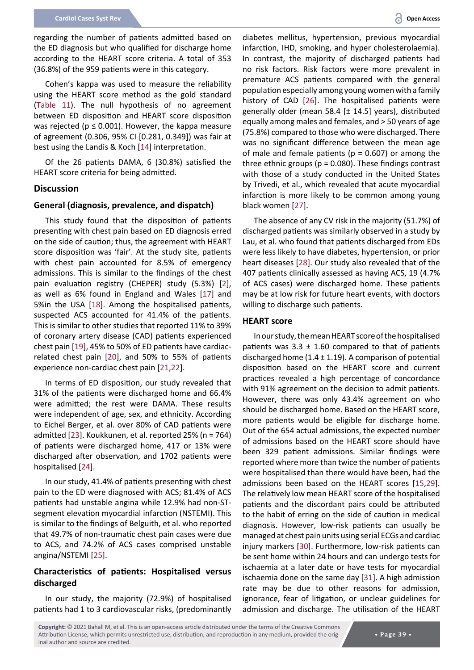regarding the number of patients admitted based on the ED diagnosis but who qualified for discharge home according to the HEART score criteria. A total of 353 (36.8%) of the 959 patients were in this category.

Cohen's kappa was used to measure the reliability using the HEART score method as the gold standard (Table 11). The null hypothesis of no agreement between ED disposition and HEART score disposition was rejected ( $p \le 0.001$ ). However, the kappa measure of agreement (0.306, 95% CI [0.281, 0.349]) was fair at best using the Landis & Koch [\[14](#page-10-0)] interpretation.

Of the 26 patients DAMA, 6 (30.8%) satisfied the HEART score criteria for being admitted.

#### **Discussion**

#### **General (diagnosis, prevalence, and dispatch)**

This study found that the disposition of patients presenting with chest pain based on ED diagnosis erred on the side of caution; thus, the agreement with HEART score disposition was 'fair'. At the study site, patients with chest pain accounted for 8.5% of emergency admissions. This is similar to the findings of the chest pain evaluation registry (CHEPER) study (5.3%) [[2](#page-9-4)], as well as 6% found in England and Wales [\[17\]](#page-10-12) and 5%in the USA [[18](#page-10-13)]. Among the hospitalised patients, suspected ACS accounted for 41.4% of the patients. This is similar to other studies that reported 11% to 39% of coronary artery disease (CAD) patients experienced chest pain [[19\]](#page-10-14), 45% to 50% of ED patients have cardiacrelated chest pain [[20](#page-10-15)], and 50% to 55% of patients experience non-cardiac chest pain [[21](#page-10-16),[22](#page-10-17)].

In terms of ED disposition, our study revealed that 31% of the patients were discharged home and 66.4% were admitted; the rest were DAMA. These results were independent of age, sex, and ethnicity. According to Eichel Berger, et al. over 80% of CAD patients were admitted [[23\]](#page-10-18). Koukkunen, et al. reported 25% (n = 764) of patients were discharged home, 417 or 13% were discharged after observation, and 1702 patients were hospitalised [\[24](#page-10-19)].

In our study, 41.4% of patients presenting with chest pain to the ED were diagnosed with ACS; 81.4% of ACS patients had unstable angina while 12.9% had non-STsegment elevation myocardial infarction (NSTEMI). This is similar to the findings of Belguith, et al. who reported that 49.7% of non-traumatic chest pain cases were due to ACS, and 74.2% of ACS cases comprised unstable angina/NSTEMI [\[25](#page-10-20)].

## **Characteristics of patients: Hospitalised versus discharged**

In our study, the majority (72.9%) of hospitalised patients had 1 to 3 cardiovascular risks, (predominantly

diabetes mellitus, hypertension, previous myocardial infarction, IHD, smoking, and hyper cholesterolaemia). In contrast, the majority of discharged patients had no risk factors. Risk factors were more prevalent in premature ACS patients compared with the general population especially among young women with a family history of CAD [[26\]](#page-10-7). The hospitalised patients were generally older (mean 58.4 [± 14.5] years), distributed equally among males and females, and > 50 years of age (75.8%) compared to those who were discharged. There was no significant difference between the mean age of male and female patients ( $p = 0.607$ ) or among the three ethnic groups ( $p = 0.080$ ). These findings contrast with those of a study conducted in the United States by Trivedi, et al., which revealed that acute myocardial infarction is more likely to be common among young black women [[27](#page-10-8)].

The absence of any CV risk in the majority (51.7%) of discharged patients was similarly observed in a study by Lau, et al. who found that patients discharged from EDs were less likely to have diabetes, hypertension, or prior heart diseases [\[28](#page-10-9)]. Our study also revealed that of the 407 patients clinically assessed as having ACS, 19 (4.7% of ACS cases) were discharged home. These patients may be at low risk for future heart events, with doctors willing to discharge such patients.

#### **HEART score**

In our study, the mean HEART score of the hospitalised patients was  $3.3 \pm 1.60$  compared to that of patients discharged home  $(1.4 \pm 1.19)$ . A comparison of potential disposition based on the HEART score and current practices revealed a high percentage of concordance with 91% agreement on the decision to admit patients. However, there was only 43.4% agreement on who should be discharged home. Based on the HEART score, more patients would be eligible for discharge home. Out of the 654 actual admissions, the expected number of admissions based on the HEART score should have been 329 patient admissions. Similar findings were reported where more than twice the number of patients were hospitalised than there would have been, had the admissions been based on the HEART scores [[15](#page-10-1),[29](#page-9-3)]. The relatively low mean HEART score of the hospitalised patients and the discordant pairs could be attributed to the habit of erring on the side of caution in medical diagnosis. However, low-risk patients can usually be managed at chest pain units using serial ECGs and cardiac injury markers [\[30](#page-10-10)]. Furthermore, low-risk patients can be sent home within 24 hours and can undergo tests for ischaemia at a later date or have tests for myocardial ischaemia done on the same day [\[31](#page-10-11)]. A high admission rate may be due to other reasons for admission, ignorance, fear of litigation, or unclear guidelines for admission and discharge. The utilisation of the HEART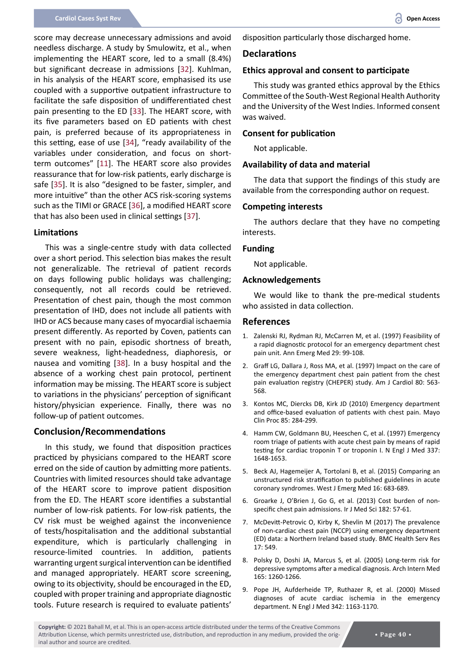score may decrease unnecessary admissions and avoid needless discharge. A study by Smulowitz, et al., when implementing the HEART score, led to a small (8.4%) but significant decrease in admissions [\[32\]](#page-10-21). Kuhlman, in his analysis of the HEART score, emphasised its use coupled with a supportive outpatient infrastructure to facilitate the safe disposition of undifferentiated chest pain presenting to the ED [\[33\]](#page-10-22). The HEART score, with its five parameters based on ED patients with chest pain, is preferred because of its appropriateness in this setting, ease of use [[34\]](#page-10-23), "ready availability of the variables under consideration, and focus on shortterm outcomes" [[11](#page-10-2)]. The HEART score also provides reassurance that for low-risk patients, early discharge is safe [\[35\]](#page-10-24). It is also "designed to be faster, simpler, and more intuitive" than the other ACS risk-scoring systems such as the TIMI or GRACE [[36](#page-10-25)], a modified HEART score that has also been used in clinical settings [\[37](#page-10-26)].

#### **Limitations**

This was a single-centre study with data collected over a short period. This selection bias makes the result not generalizable. The retrieval of patient records on days following public holidays was challenging; consequently, not all records could be retrieved. Presentation of chest pain, though the most common presentation of IHD, does not include all patients with IHD or ACS because many cases of myocardial ischaemia present differently. As reported by Coven, patients can present with no pain, episodic shortness of breath, severe weakness, light-headedness, diaphoresis, or nausea and vomiting [\[38](#page-10-27)]. In a busy hospital and the absence of a working chest pain protocol, pertinent information may be missing. The HEART score is subject to variations in the physicians' perception of significant history/physician experience. Finally, there was no follow-up of patient outcomes.

## **Conclusion/Recommendations**

In this study, we found that disposition practices practiced by physicians compared to the HEART score erred on the side of caution by admitting more patients. Countries with limited resources should take advantage of the HEART score to improve patient disposition from the ED. The HEART score identifies a substantial number of low-risk patients. For low-risk patients, the CV risk must be weighed against the inconvenience of tests/hospitalisation and the additional substantial expenditure, which is particularly challenging in resource-limited countries. In addition, patients warranting urgent surgical intervention can be identified and managed appropriately. HEART score screening, owing to its objectivity, should be encouraged in the ED, coupled with proper training and appropriate diagnostic tools. Future research is required to evaluate patients'

disposition particularly those discharged home.

## **Declarations**

## **Ethics approval and consent to participate**

This study was granted ethics approval by the Ethics Committee of the South-West Regional Health Authority and the University of the West Indies. Informed consent was waived.

## **Consent for publication**

Not applicable.

#### **Availability of data and material**

The data that support the findings of this study are available from the corresponding author on request.

#### **Competing interests**

The authors declare that they have no competing interests.

#### **Funding**

Not applicable.

#### **Acknowledgements**

We would like to thank the pre-medical students who assisted in data collection.

#### **References**

- <span id="page-9-3"></span>1. [Zalenski RJ, Rydman RJ, McCarren M, et al. \(1997\) Feasibility of](https://pubmed.ncbi.nlm.nih.gov/8998088/)  [a rapid diagnostic protocol for an emergency department chest](https://pubmed.ncbi.nlm.nih.gov/8998088/)  [pain unit. Ann Emerg Med 29: 99-108.](https://pubmed.ncbi.nlm.nih.gov/8998088/)
- <span id="page-9-4"></span>2. [Graff LG, Dallara J, Ross MA, et al. \(1997\) Impact on the care of](https://pubmed.ncbi.nlm.nih.gov/9294982/)  [the emergency department chest pain patient from the chest](https://pubmed.ncbi.nlm.nih.gov/9294982/)  [pain evaluation registry \(CHEPER\) study. Am J Cardiol 80: 563-](https://pubmed.ncbi.nlm.nih.gov/9294982/) [568.](https://pubmed.ncbi.nlm.nih.gov/9294982/)
- <span id="page-9-5"></span>3. [Kontos MC, Diercks DB, Kirk JD \(2010\) Emergency department](https://www.ncbi.nlm.nih.gov/pmc/articles/PMC2843115/)  [and office-based evaluation of patients with chest pain. Mayo](https://www.ncbi.nlm.nih.gov/pmc/articles/PMC2843115/)  [Clin Proc 85: 284-299.](https://www.ncbi.nlm.nih.gov/pmc/articles/PMC2843115/)
- <span id="page-9-0"></span>4. [Hamm CW, Goldmann BU, Heeschen C, et al. \(1997\) Emergency](https://pubmed.ncbi.nlm.nih.gov/9385123/)  [room triage of patients with acute chest pain by means of rapid](https://pubmed.ncbi.nlm.nih.gov/9385123/)  [testing for cardiac troponin T or troponin I. N Engl J Med 337:](https://pubmed.ncbi.nlm.nih.gov/9385123/)  [1648-1653.](https://pubmed.ncbi.nlm.nih.gov/9385123/)
- <span id="page-9-1"></span>5. [Beck AJ, Hagemeijer A, Tortolani B, et al. \(2015\) Comparing an](https://pubmed.ncbi.nlm.nih.gov/26587091/)  [unstructured risk stratification to published guidelines in acute](https://pubmed.ncbi.nlm.nih.gov/26587091/)  [coronary syndromes. West J Emerg Med 16: 683-689.](https://pubmed.ncbi.nlm.nih.gov/26587091/)
- <span id="page-9-2"></span>6. [Groarke J, O'Brien J, Go G, et al. \(2013\) Cost burden of non](https://pubmed.ncbi.nlm.nih.gov/22552895/)[specific chest pain admissions. Ir J Med Sci 182: 57-61.](https://pubmed.ncbi.nlm.nih.gov/22552895/)
- <span id="page-9-6"></span>7. [McDevitt-Petrovic O, Kirby K, Shevlin M \(2017\) The prevalence](https://pubmed.ncbi.nlm.nih.gov/28793910/)  [of non-cardiac chest pain \(NCCP\) using emergency department](https://pubmed.ncbi.nlm.nih.gov/28793910/)  [\(ED\) data: a Northern Ireland based study. BMC Health Serv Res](https://pubmed.ncbi.nlm.nih.gov/28793910/)  [17: 549.](https://pubmed.ncbi.nlm.nih.gov/28793910/)
- <span id="page-9-7"></span>8. [Polsky D, Doshi JA, Marcus S, et al. \(2005\) Long-term risk for](https://pubmed.ncbi.nlm.nih.gov/15956005/)  [depressive symptoms after a medical diagnosis. Arch Intern Med](https://pubmed.ncbi.nlm.nih.gov/15956005/)  [165: 1260-1266.](https://pubmed.ncbi.nlm.nih.gov/15956005/)
- <span id="page-9-8"></span>9. [Pope JH, Aufderheide TP, Ruthazer R, et al. \(2000\) Missed](https://pubmed.ncbi.nlm.nih.gov/10770981/)  [diagnoses of acute cardiac ischemia in the emergency](https://pubmed.ncbi.nlm.nih.gov/10770981/)  [department. N Engl J Med 342: 1163-1170.](https://pubmed.ncbi.nlm.nih.gov/10770981/)